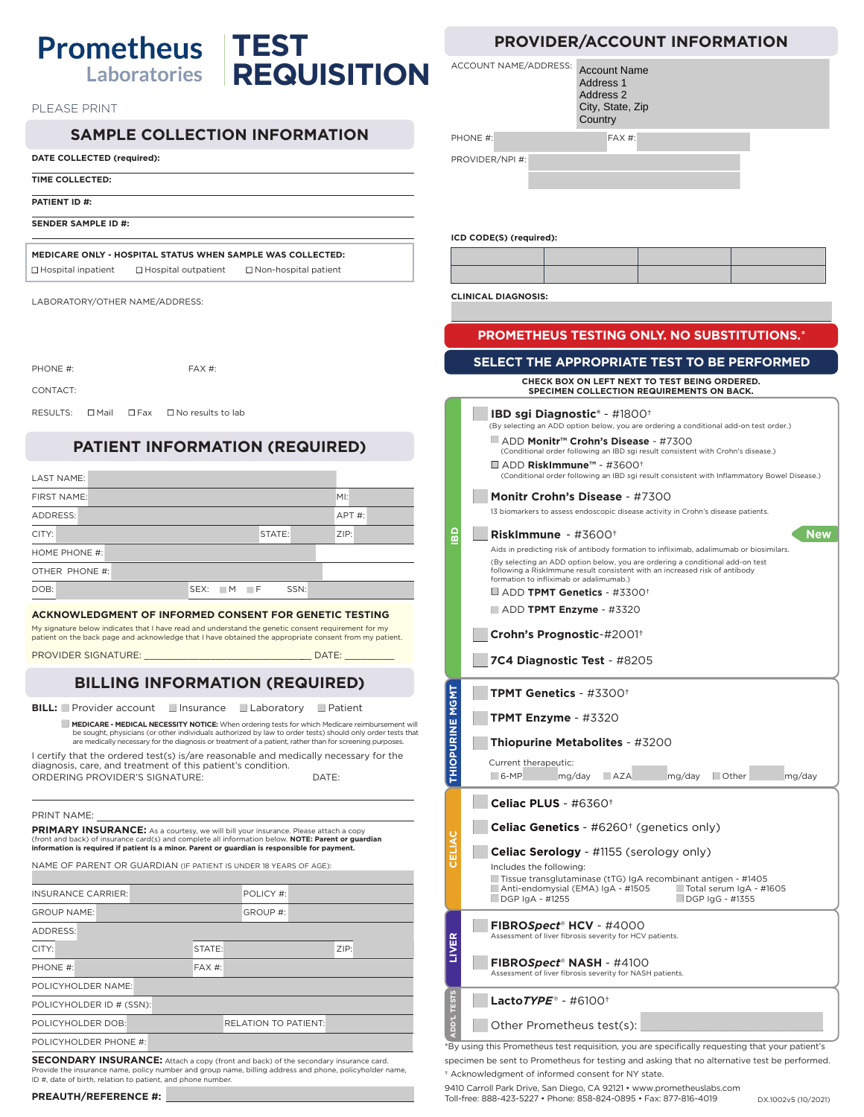## **Prometheus | TEST REQUISITION** Laboratories

PLEASE PRINT

## **SAMPLE COLLECTION INFORMATION**

## **DATE COLLECTED (required):**

**TIME COLLECTED:**

**PATIENT ID #:**

**SENDER SAMPLE ID #:**

**MEDICARE ONLY - HOSPITAL STATUS WHEN SAMPLE WAS COLLECTED:**   $\Box$  Hospital inpatient  $\Box$  Hospital outpatient  $\Box$  Non-hospital patient

LABORATORY/OTHER NAME/ADDRESS:

| PHONE #: |  | FAX #:                                    |
|----------|--|-------------------------------------------|
| CONTACT: |  |                                           |
|          |  | RESULTS: □ Mail □ Fax □ No results to lab |

## **PATIENT INFORMATION (REQUIRED)**

| LAST NAME:     |                        |          |
|----------------|------------------------|----------|
| FIRST NAME:    |                        | M!       |
| ADDRESS:       |                        | $APT#$ : |
| CITY:          | STATE:                 | ZIP:     |
| HOME PHONE #:  |                        |          |
| OTHER PHONE #: |                        |          |
| DOB:           | SSN:<br>$SEX:$ $M$ $F$ |          |

#### **ACKNOWLEDGMENT OF INFORMED CONSENT FOR GENETIC TESTING**

My signature below indicates that I have read and understand the genetic consent requirement for my patient on the back page and acknowledge that I have obtained the appropriate consent from my patient.

PROVIDER SIGNATURE: \_\_\_\_\_\_\_\_\_\_\_\_\_\_\_\_\_\_\_\_\_\_\_\_\_\_\_\_\_\_\_ DATE: \_\_\_\_\_\_\_\_\_

## **BILLING INFORMATION (REQUIRED)**

**BILL:** Provider account Insurance Laboratory Patient

**MEDICARE - MEDICAL NECESSITY NOTICE:** When ordering tests for which Medicare reimbursement will be sought, physicians (or other individuals authorized by law to order tests) should only order tests that are medically necessary for the diagnosis or treatment of a patient, rather than for screening purposes.

I certify that the ordered test(s) is/are reasonable and medically necessary for the diagnosis, care, and treatment of this patient's condition. ORDERING PROVIDER'S SIGNATURE: DATE:

| PRINT NAME: |
|-------------|
|             |

PRIMARY INSURANCE: As a courtesy, we will bill your insurance. Please attach a copy (front and back) of insurance card(s) and complete all information below. **NOTE: Parent or guardian information is required if patient is a minor. Parent or guardian is responsible for payment.**

NAME OF PARENT OR GUARDIAN (IF PATIENT IS UNDER 18 YEARS OF AGE):

| <b>INSURANCE CARRIER:</b> | POLICY #:                   |      |
|---------------------------|-----------------------------|------|
| <b>GROUP NAME:</b>        | GROUP #:                    |      |
| ADDRESS:                  |                             |      |
| CITY:                     | STATE:                      | ZIP: |
| PHONE #:                  | $FAX#$ :                    |      |
| POLICYHOLDER NAME:        |                             |      |
| POLICYHOLDER ID # (SSN):  |                             |      |
| POLICYHOLDER DOB:         | <b>RELATION TO PATIENT:</b> |      |
| POLICYHOLDER PHONE #:     |                             |      |
|                           |                             |      |

**SECONDARY INSURANCE:** Attach a copy (front and back) of the secondary insurance card. Provide the insurance name, policy number and group name, billing address and phone, policyholder name, ID #, date of birth, relation to patient, and phone number

|  |  | PROVIDER/ACCOUNT INFORMATION |
|--|--|------------------------------|
|--|--|------------------------------|

|                        | ACCOUNT NAME/ADDRESS:<br><b>Account Name</b><br>Address 1<br>Address <sub>2</sub><br>City, State, Zip<br>Country                                                                                                                                                                                                                                                                                                                                                                                                                        |  |  |  |  |
|------------------------|-----------------------------------------------------------------------------------------------------------------------------------------------------------------------------------------------------------------------------------------------------------------------------------------------------------------------------------------------------------------------------------------------------------------------------------------------------------------------------------------------------------------------------------------|--|--|--|--|
| PHONE #:               | FAX #:                                                                                                                                                                                                                                                                                                                                                                                                                                                                                                                                  |  |  |  |  |
|                        | PROVIDER/NPI #:<br>ICD CODE(S) (required):                                                                                                                                                                                                                                                                                                                                                                                                                                                                                              |  |  |  |  |
|                        |                                                                                                                                                                                                                                                                                                                                                                                                                                                                                                                                         |  |  |  |  |
|                        | <b>CLINICAL DIAGNOSIS:</b>                                                                                                                                                                                                                                                                                                                                                                                                                                                                                                              |  |  |  |  |
|                        | PROMETHEUS TESTING ONLY. NO SUBSTITUTIONS.*                                                                                                                                                                                                                                                                                                                                                                                                                                                                                             |  |  |  |  |
|                        | SELECT THE APPROPRIATE TEST TO BE PERFORMED                                                                                                                                                                                                                                                                                                                                                                                                                                                                                             |  |  |  |  |
|                        | CHECK BOX ON LEFT NEXT TO TEST BEING ORDERED.<br><b>SPECIMEN COLLECTION REQUIREMENTS ON BACK.</b>                                                                                                                                                                                                                                                                                                                                                                                                                                       |  |  |  |  |
|                        | <b>IBD sqi Diagnostic<sup>®</sup> - #1800<sup>+</sup></b><br>(By selecting an ADD option below, you are ordering a conditional add-on test order.)<br>■ ADD Monitr™ Crohn's Disease - #7300<br>(Conditional order following an IBD sgi result consistent with Crohn's disease.)<br>$\Box$ ADD RiskImmune™ - #3600†<br>(Conditional order following an IBD sgi result consistent with Inflammatory Bowel Disease.)<br>Monitr Crohn's Disease - #7300<br>13 biomarkers to assess endoscopic disease activity in Crohn's disease patients. |  |  |  |  |
| 읇                      | Nev<br>RiskImmune - $\#3600^+$<br>Aids in predicting risk of antibody formation to infliximab, adalimumab or biosimilars.<br>(By selecting an ADD option below, you are ordering a conditional add-on test<br>following a RiskImmune result consistent with an increased risk of antibody<br>formation to infliximab or adalimumab.)<br>$\blacksquare$ ADD TPMT Genetics - #3300†<br>$\blacksquare$ ADD TPMT Enzyme - #3320<br>Crohn's Prognostic-#2001+<br>7C4 Diagnostic Test - #8205                                                 |  |  |  |  |
|                        | TPMT Genetics - #3300+                                                                                                                                                                                                                                                                                                                                                                                                                                                                                                                  |  |  |  |  |
|                        | <b>TPMT Enzyme</b> - $\#3320$                                                                                                                                                                                                                                                                                                                                                                                                                                                                                                           |  |  |  |  |
|                        | <b>Thiopurine Metabolites - #3200</b>                                                                                                                                                                                                                                                                                                                                                                                                                                                                                                   |  |  |  |  |
| <b>THIOPURINE MGMT</b> | Current therapeutic:<br>6-MP mg/day<br>$\blacksquare$ AZA<br><b>Other</b><br>mg/day<br>mg/day                                                                                                                                                                                                                                                                                                                                                                                                                                           |  |  |  |  |
|                        | Celiac PLUS - $\#6360^+$                                                                                                                                                                                                                                                                                                                                                                                                                                                                                                                |  |  |  |  |
| CELIAC                 | <b>Celiac Genetics</b> - #6260 <sup>+</sup> (genetics only)<br><b>Celiac Serology</b> - #1155 (serology only)<br>Includes the following:<br>Tissue transglutaminase (tTG) IgA recombinant antigen - #1405<br>Anti-endomysial (EMA) IgA - #1505<br>Total serum IgA - #1605<br>DGP IgA - #1255<br>DGP IgG - #1355                                                                                                                                                                                                                         |  |  |  |  |
| <b>LIVER</b>           | <b>FIBROSpect® HCV - #4000</b><br>Assessment of liver fibrosis severity for HCV patients.<br><b>FIBRO<i>Spect</i>® NASH</b> - #4100                                                                                                                                                                                                                                                                                                                                                                                                     |  |  |  |  |
|                        | Assessment of liver fibrosis severity for NASH patients.                                                                                                                                                                                                                                                                                                                                                                                                                                                                                |  |  |  |  |
| <b>DD'LTESTS</b>       | Lacto $\mathcal{T} \mathsf{Y} \mathsf{P} \mathsf{E}^*$ - #6100†<br>Other Prometheus test(s):                                                                                                                                                                                                                                                                                                                                                                                                                                            |  |  |  |  |

\*By using this Prometheus test requisition, you are specifically requesting that your patient's specimen be sent to Prometheus for testing and asking that no alternative test be performed.

† Acknowledgment of informed consent for NY state. 9410 Carroll Park Drive, San Diego, CA 92121 • www.prometheuslabs.com

**PREAUTH/REFERENCE #: Toll-free: 888-423-5227 • Phone: 858-824-0895 • Fax: 877-816-4019** DX.1002v5 (10/2021)